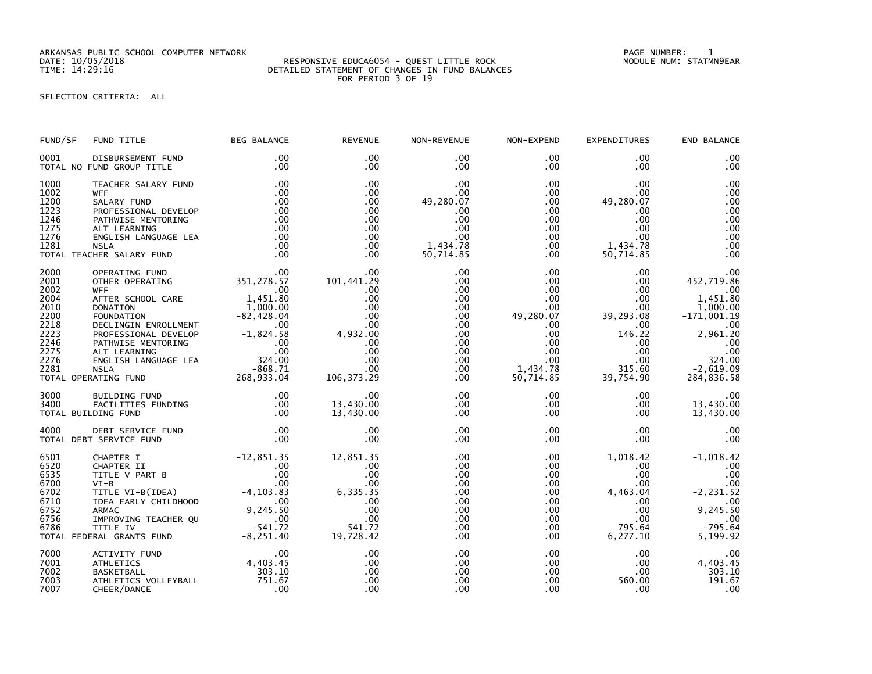ARKANSAS PUBLIC SCHOOL COMPUTER NETWORK PAGE NUMBER: 1

## SELECTION CRITERIA: ALL

| FUND/SF                                                                                      | FUND TITLE                                                                                                                                                                                                                                                                                                                                                                                                                                            | <b>BEG BALANCE</b>                                                                                                  | <b>REVENUE</b>                                                                                                       | NON-REVENUE                                                                                                                             | NON-EXPEND                                                                                                                                                      | <b>EXPENDITURES</b>                                                                                                                                  | END BALANCE                                                                                                                                                        |
|----------------------------------------------------------------------------------------------|-------------------------------------------------------------------------------------------------------------------------------------------------------------------------------------------------------------------------------------------------------------------------------------------------------------------------------------------------------------------------------------------------------------------------------------------------------|---------------------------------------------------------------------------------------------------------------------|----------------------------------------------------------------------------------------------------------------------|-----------------------------------------------------------------------------------------------------------------------------------------|-----------------------------------------------------------------------------------------------------------------------------------------------------------------|------------------------------------------------------------------------------------------------------------------------------------------------------|--------------------------------------------------------------------------------------------------------------------------------------------------------------------|
| 0001                                                                                         | DISBURSEMENT FUND<br>TOTAL NO FUND GROUP TITLE                                                                                                                                                                                                                                                                                                                                                                                                        | .00<br>.00                                                                                                          | .00<br>$.00 \times$                                                                                                  | .00<br>.00                                                                                                                              | $.00 \,$<br>$.00 \,$                                                                                                                                            | .00<br>.00                                                                                                                                           | .00<br>.00                                                                                                                                                         |
| 1000<br>1002<br>1200<br>1223<br>1246<br>1275<br>1276<br>1281                                 | TEACHER SALARY FUND<br><b>WFF</b><br>SALARY FUND<br>PROFESSIONAL DEVELOP<br>PATHWISE MENTORING<br>ALT LEARNING<br>ENGLISH LANGUAGE LEA<br><b>NSLA</b><br>TOTAL TEACHER SALARY FUND                                                                                                                                                                                                                                                                    | .00<br>.00<br>.00<br>.00<br>.00<br>.00<br>.00<br>.00<br>.00                                                         | .00<br>$.00 \times$<br>$.00 \times$<br>$.00 \times$<br>.00<br>.00<br>.00<br>.00<br>.00                               | .00<br>.00<br>49,280.07<br>.00<br>.00<br>.00<br>.00<br>1,434.78<br>50,714.85                                                            | $.00 \,$<br>$.00 \,$<br>$.00 \,$<br>$.00 \,$<br>$.00 \,$<br>$.00 \,$<br>$.00 \ \,$<br>$.00 \,$<br>$.00 \times$                                                  | .00<br>.00<br>49,280.07<br>.00.<br>$.00 \,$<br>.00<br>$.00 \,$<br>1,434.78<br>50,714.85                                                              | .00<br>.00<br>.00<br>.00<br>.00<br>.00<br>.00<br>.00<br>.00                                                                                                        |
| 2000<br>2001<br>2002<br>2004<br>2010<br>2200<br>2218<br>2223<br>2246<br>2275<br>2276<br>2281 | OPERATING FUND<br>OTHER OPERATING<br><b>WFF</b><br>AFTER SCHOOL CARE<br><b>DONATION</b><br>0000011000110001100011000110001100011000110001100011000110001100011000110001100110011001100110011001100110011<br>PROFESSIONAL DEVELOP -1,824.58<br>PATHWISE MENTORING<br>PATHWISE MENTORING .000<br>ALT LEARNING .000<br>ENGLISH LANGUAG<br>00<br>ALT LEARNING<br>ENGLISH LANGUAGE LEA<br>NSLA<br>NSLA<br>ATING FUND<br>268,933.04<br>TOTAL OPERATING FUND | 00.<br>351, 278. 57<br>00. 1 - 1 - 80.<br>30. 1 - 1 - 1 - 80.<br>1,451.80<br>1,000.00                               | $.00 \times$<br>101,441.29<br>.00<br>.00<br>.00<br>.00<br>.00<br>4,932.00<br>.00<br>.00<br>.00<br>.00<br>106, 373.29 | .00<br>.00<br>.00<br>.00<br>$.00 \,$<br>$.00 \,$<br>$.00 \,$<br>.00 <sub>1</sub><br>$.00 \,$<br>$.00 \,$<br>$.00 \,$<br>.00<br>$.00 \,$ | $.00 \,$<br>$.00 \,$<br>.00<br>$.00 \,$<br>.00 <sub>1</sub><br>49,280.07<br>.00<br>$.00 \times$<br>$.00 \,$<br>$.00 \,$<br>$.00 \cdot$<br>1,434.78<br>50,714.85 | $.00 \,$<br>$.00 \cdot$<br>.00<br>$.00 \,$<br>$.00 \,$<br>39,293.08<br>$.00 \,$<br>146.22<br>$.00 \,$<br>$.00 \,$<br>$.00 \,$<br>315.60<br>39,754.90 | .00<br>452,719.86<br>.00<br>1,451.80<br>1,000.00<br>$-171,001.19$<br>.00<br>2,961.20<br>$\overline{\phantom{0}}$ .00<br>.00<br>324.00<br>$-2,619.09$<br>284,836.58 |
| 3000<br>3400                                                                                 | FACILITIES FUNDING<br>DING FUND<br>TOTAL BUILDING FUND                                                                                                                                                                                                                                                                                                                                                                                                | .00<br>.00<br>.00                                                                                                   | .00<br>13,430.00<br>13,430.00                                                                                        | .00<br>$.00 \,$<br>.00                                                                                                                  | $.00 \,$<br>$.00 \,$<br>$.00 \times$                                                                                                                            | $.00 \,$<br>.00<br>.00                                                                                                                               | .00<br>13,430.00<br>13,430.00                                                                                                                                      |
| 4000                                                                                         | DEBT SERVICE FUND<br>TOTAL DEBT SERVICE FUND                                                                                                                                                                                                                                                                                                                                                                                                          | .00<br>.00                                                                                                          | .00<br>.00                                                                                                           | .00<br>.00                                                                                                                              | $.00 \times$<br>$.00 \times$                                                                                                                                    | $.00 \,$<br>$.00 \,$                                                                                                                                 | .00<br>.00                                                                                                                                                         |
| 6501<br>6520<br>6535<br>6700<br>6702<br>6710<br>6752<br>6756<br>6786                         | CHAPTER I<br>CHAPTER II<br>TITLE V PART B<br>$VI-B$<br>TITLE VI-B(IDEA)<br>IDEA EARLY CHILDHOOD<br><b>ARMAC</b><br>IMPROVING TEACHER QU<br>TITLE IV<br>TOTAL FEDERAL GRANTS FUND                                                                                                                                                                                                                                                                      | $-12, 851.35$<br>00<br>00<br>00<br>00 -4, 103.83<br>HOOD -2.45<br>9,245.50<br>$2 \times 20$<br>-541.72<br>-8,251.40 | 12,851.35<br>.00<br>.00<br>.00<br>6,335.35<br>.00<br>.00<br>.00<br>541.72<br>19,728.42                               | .00<br>.00<br>.00<br>.00<br>.00<br>.00<br>.00<br>.00<br>.00<br>.00                                                                      | $.00 \,$<br>$.00 \,$<br>.00<br>$.00 \,$<br>.00<br>.00<br>$.00 \,$<br>$.00 \,$<br>$.00 \,$<br>$.00 \,$                                                           | 1,018.42<br>.00<br>$.00 \,$<br>$.00 \,$<br>4,463.04<br>.00.<br>.00<br>.00<br>795.64<br>6,277.10                                                      | $-1,018.42$<br>.00<br>.00<br>.00<br>$-2, 231.52$<br>.00<br>9,245.50<br>.00<br>$-795.64$<br>5,199.92                                                                |
| 7000<br>7001<br>7002<br>7003<br>7007                                                         | ACTIVITY FUND<br><b>ATHLETICS</b><br><b>BASKETBALL</b><br>ATHLETICS VOLLEYBALL<br>CHEER/DANCE                                                                                                                                                                                                                                                                                                                                                         | $00$<br>4,403.45<br>$\frac{303.10}{751.67}$<br>.00                                                                  | .00<br>.00<br>.00<br>.00<br>.00                                                                                      | .00<br>.00<br>.00<br>.00<br>.00                                                                                                         | $.00 \,$<br>$.00 \cdot$<br>$.00 \,$<br>.00<br>$.00 \,$                                                                                                          | $.00 \,$<br>$.00 \,$<br>$.00 \,$<br>560.00<br>.00                                                                                                    | .00<br>4,403.45<br>303.10<br>191.67<br>.00                                                                                                                         |